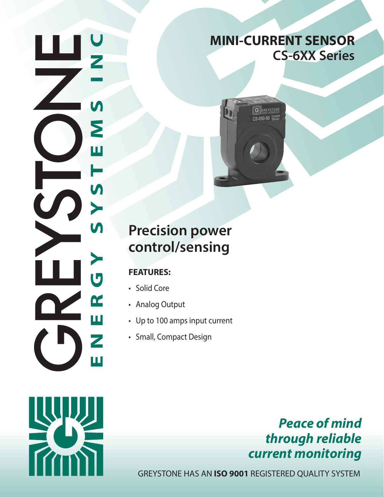$\bigcup$ **ENERGY SYSTEMS INC** $\overline{\mathsf{M}}$ Σ ш S  $\blacktriangleright$ **V)** Ū K Ш Ζ Ш

## **MINI-CURRENT SENSOR CS-6XX Series**



# **Precision power control/sensing**

### **FEATURES:**

- Solid Core
- Analog Output
- Up to 100 amps input current
- Small, Compact Design



## *Peace of mind through reliable current monitoring*

GREYSTONE HAS AN **ISO 9001** REGISTERED QUALITY SYSTEM